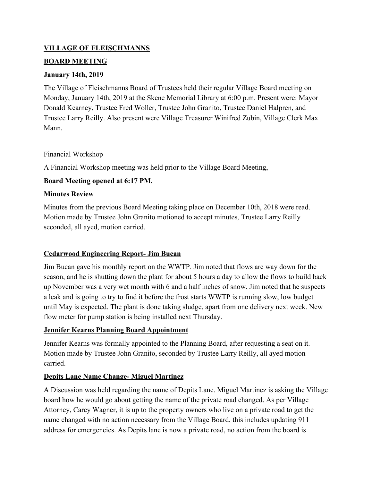### **VILLAGE OF FLEISCHMANNS**

#### **BOARD MEETING**

#### **January 14th, 2019**

The Village of Fleischmanns Board of Trustees held their regular Village Board meeting on Monday, January 14th, 2019 at the Skene Memorial Library at 6:00 p.m. Present were: Mayor Donald Kearney, Trustee Fred Woller, Trustee John Granito, Trustee Daniel Halpren, and Trustee Larry Reilly. Also present were Village Treasurer Winifred Zubin, Village Clerk Max Mann.

Financial Workshop

A Financial Workshop meeting was held prior to the Village Board Meeting,

# **Board Meeting opened at 6:17 PM.**

# **Minutes Review**

Minutes from the previous Board Meeting taking place on December 10th, 2018 were read. Motion made by Trustee John Granito motioned to accept minutes, Trustee Larry Reilly seconded, all ayed, motion carried.

# **Cedarwood Engineering Report- Jim Bucan**

Jim Bucan gave his monthly report on the WWTP. Jim noted that flows are way down for the season, and he is shutting down the plant for about 5 hours a day to allow the flows to build back up November was a very wet month with 6 and a half inches of snow. Jim noted that he suspects a leak and is going to try to find it before the frost starts WWTP is running slow, low budget until May is expected. The plant is done taking sludge, apart from one delivery next week. New flow meter for pump station is being installed next Thursday.

# **Jennifer Kearns Planning Board Appointment**

Jennifer Kearns was formally appointed to the Planning Board, after requesting a seat on it. Motion made by Trustee John Granito, seconded by Trustee Larry Reilly, all ayed motion carried.

# **Depits Lane Name Change- Miguel Martinez**

A Discussion was held regarding the name of Depits Lane. Miguel Martinez is asking the Village board how he would go about getting the name of the private road changed. As per Village Attorney, Carey Wagner, it is up to the property owners who live on a private road to get the name changed with no action necessary from the Village Board, this includes updating 911 address for emergencies. As Depits lane is now a private road, no action from the board is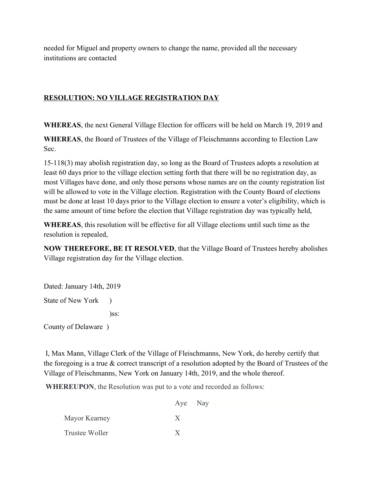needed for Miguel and property owners to change the name, provided all the necessary institutions are contacted

# **RESOLUTION: NO VILLAGE REGISTRATION DAY**

**WHEREAS**, the next General Village Election for officers will be held on March 19, 2019 and

**WHEREAS**, the Board of Trustees of the Village of Fleischmanns according to Election Law Sec.

15-118(3) may abolish registration day, so long as the Board of Trustees adopts a resolution at least 60 days prior to the village election setting forth that there will be no registration day, as most Villages have done, and only those persons whose names are on the county registration list will be allowed to vote in the Village election. Registration with the County Board of elections must be done at least 10 days prior to the Village election to ensure a voter's eligibility, which is the same amount of time before the election that Village registration day was typically held,

**WHEREAS**, this resolution will be effective for all Village elections until such time as the resolution is repealed,

**NOW THEREFORE, BE IT RESOLVED**, that the Village Board of Trustees hereby abolishes Village registration day for the Village election.

Dated: January 14th, 2019 State of New York ) )ss: County of Delaware )

 I, Max Mann, Village Clerk of the Village of Fleischmanns, New York, do hereby certify that the foregoing is a true & correct transcript of a resolution adopted by the Board of Trustees of the Village of Fleischmanns, New York on January 14th, 2019, and the whole thereof.

**WHEREUPON**, the Resolution was put to a vote and recorded as follows:

|                | Aye Nay |  |
|----------------|---------|--|
| Mayor Kearney  |         |  |
| Trustee Woller |         |  |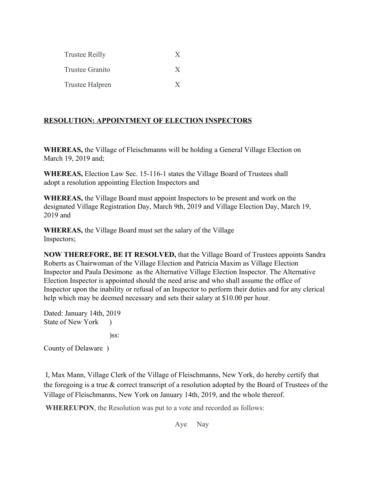| <b>Trustee Reilly</b>  | $\boldsymbol{\mathsf{X}}$ |
|------------------------|---------------------------|
| <b>Trustee Granito</b> | $\mathsf{X}$              |
| Trustee Halpren        | X                         |

### **RESOLUTION: APPOINTMENT OF ELECTION INSPECTORS**

**WHEREAS,** the Village of Fleischmanns will be holding a General Village Election on March 19, 2019 and;

**WHEREAS,** Election Law Sec. 15-116-1 states the Village Board of Trustees shall adopt a resolution appointing Election Inspectors and

**WHEREAS,** the Village Board must appoint Inspectors to be present and work on the designated Village Registration Day, March 9th, 2019 and Village Election Day, March 19, 2019 and

**WHEREAS,** the Village Board must set the salary of the Village Inspectors;

**NOW THEREFORE, BE IT RESOLVED,** that the Village Board of Trustees appoints Sandra Roberts as Chairwoman of the Village Election and Patricia Maxim as Village Election Inspector and Paula Desimone as the Alternative Village Election Inspector. The Alternative Election Inspector is appointed should the need arise and who shall assume the office of Inspector upon the inability or refusal of an Inspector to perform their duties and for any clerical help which may be deemed necessary and sets their salary at \$10.00 per hour.

Dated: January 14th, 2019 State of New York ) )ss:

County of Delaware )

 I, Max Mann, Village Clerk of the Village of Fleischmanns, New York, do hereby certify that the foregoing is a true  $\&$  correct transcript of a resolution adopted by the Board of Trustees of the Village of Fleischmanns, New York on January 14th, 2019, and the whole thereof.

**WHEREUPON**, the Resolution was put to a vote and recorded as follows:

Aye Nay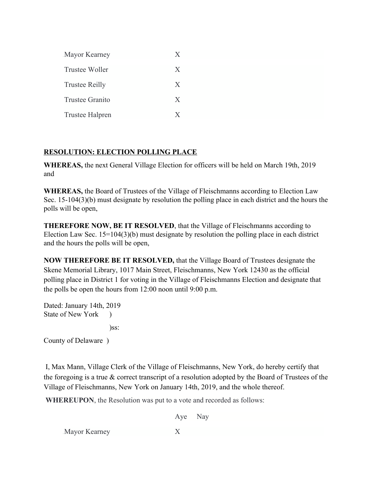| Mayor Kearney          | X |
|------------------------|---|
| Trustee Woller         | X |
| <b>Trustee Reilly</b>  | X |
| Trustee Granito        | X |
| <b>Trustee Halpren</b> | X |

### **RESOLUTION: ELECTION POLLING PLACE**

**WHEREAS,** the next General Village Election for officers will be held on March 19th, 2019 and

**WHEREAS,** the Board of Trustees of the Village of Fleischmanns according to Election Law Sec. 15-104(3)(b) must designate by resolution the polling place in each district and the hours the polls will be open,

**THEREFORE NOW, BE IT RESOLVED**, that the Village of Fleischmanns according to Election Law Sec. 15=104(3)(b) must designate by resolution the polling place in each district and the hours the polls will be open,

**NOW THEREFORE BE IT RESOLVED,** that the Village Board of Trustees designate the Skene Memorial Library, 1017 Main Street, Fleischmanns, New York 12430 as the official polling place in District 1 for voting in the Village of Fleischmanns Election and designate that the polls be open the hours from 12:00 noon until 9:00 p.m.

Dated: January 14th, 2019 State of New York ) )ss:

County of Delaware )

 I, Max Mann, Village Clerk of the Village of Fleischmanns, New York, do hereby certify that the foregoing is a true & correct transcript of a resolution adopted by the Board of Trustees of the Village of Fleischmanns, New York on January 14th, 2019, and the whole thereof.

**WHEREUPON**, the Resolution was put to a vote and recorded as follows:

Aye Nay

.Mayor Kearney X